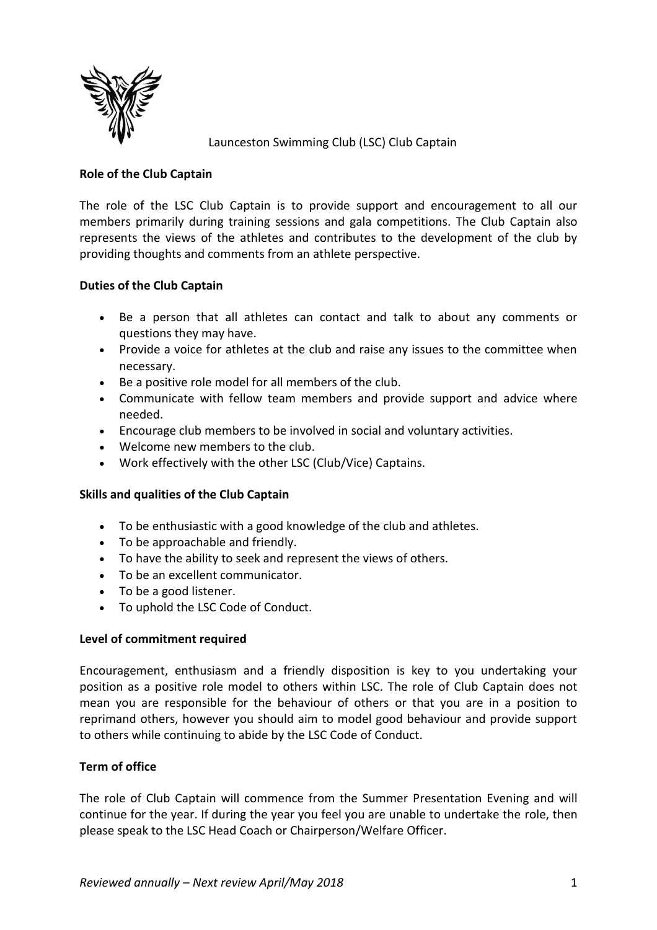

Launceston Swimming Club (LSC) Club Captain

# **Role of the Club Captain**

The role of the LSC Club Captain is to provide support and encouragement to all our members primarily during training sessions and gala competitions. The Club Captain also represents the views of the athletes and contributes to the development of the club by providing thoughts and comments from an athlete perspective.

# **Duties of the Club Captain**

- Be a person that all athletes can contact and talk to about any comments or questions they may have.
- Provide a voice for athletes at the club and raise any issues to the committee when necessary.
- Be a positive role model for all members of the club.
- Communicate with fellow team members and provide support and advice where needed.
- Encourage club members to be involved in social and voluntary activities.
- Welcome new members to the club.
- Work effectively with the other LSC (Club/Vice) Captains.

# **Skills and qualities of the Club Captain**

- To be enthusiastic with a good knowledge of the club and athletes.
- To be approachable and friendly.
- To have the ability to seek and represent the views of others.
- To be an excellent communicator.
- To be a good listener.
- To uphold the LSC Code of Conduct.

### **Level of commitment required**

Encouragement, enthusiasm and a friendly disposition is key to you undertaking your position as a positive role model to others within LSC. The role of Club Captain does not mean you are responsible for the behaviour of others or that you are in a position to reprimand others, however you should aim to model good behaviour and provide support to others while continuing to abide by the LSC Code of Conduct.

### **Term of office**

The role of Club Captain will commence from the Summer Presentation Evening and will continue for the year. If during the year you feel you are unable to undertake the role, then please speak to the LSC Head Coach or Chairperson/Welfare Officer.